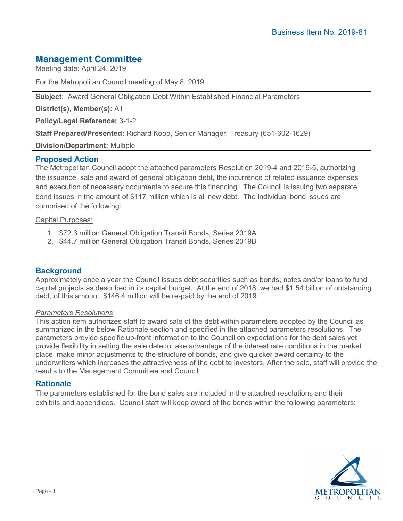# **Management Committee**

Meeting date: April 24, 2019

For the Metropolitan Council meeting of May 8, 2019

**Subject**: Award General Obligation Debt Within Established Financial Parameters

**District(s), Member(s):** All

**Policy/Legal Reference:** 3-1-2

**Staff Prepared/Presented:** Richard Koop, Senior Manager, Treasury (651-602-1629)

**Division/Department:** Multiple

# **Proposed Action**

The Metropolitan Council adopt the attached parameters Resolution 2019-4 and 2019-5, authorizing the issuance, sale and award of general obligation debt, the incurrence of related issuance expenses and execution of necessary documents to secure this financing. The Council is issuing two separate bond issues in the amount of \$117 million which is all new debt. The individual bond issues are comprised of the following:

#### Capital Purposes:

- 1. \$72.3 million General Obligation Transit Bonds, Series 2019A
- 2. \$44.7 million General Obligation Transit Bonds, Series 2019B

# **Background**

Approximately once a year the Council issues debt securities such as bonds, notes and/or loans to fund capital projects as described in its capital budget. At the end of 2018, we had \$1.54 billion of outstanding debt, of this amount, \$146.4 million will be re-paid by the end of 2019.

#### *Parameters Resolutions*

This action item authorizes staff to award sale of the debt within parameters adopted by the Council as summarized in the below Rationale section and specified in the attached parameters resolutions. The parameters provide specific up-front information to the Council on expectations for the debt sales yet provide flexibility in setting the sale date to take advantage of the interest rate conditions in the market place, make minor adjustments to the structure of bonds, and give quicker award certainty to the underwriters which increases the attractiveness of the debt to investors. After the sale, staff will provide the results to the Management Committee and Council.

#### **Rationale**

The parameters established for the bond sales are included in the attached resolutions and their exhibits and appendices. Council staff will keep award of the bonds within the following parameters: